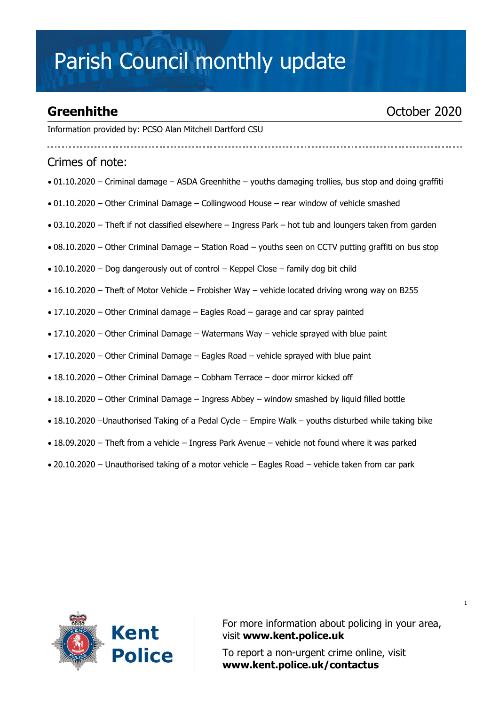# Parish Council monthly update

### **Greenhithe** October 2020

Information provided by: PCSO Alan Mitchell Dartford CSU

#### Crimes of note:

- 01.10.2020 Criminal damage ASDA Greenhithe youths damaging trollies, bus stop and doing graffiti
- 01.10.2020 Other Criminal Damage Collingwood House rear window of vehicle smashed
- 03.10.2020 Theft if not classified elsewhere Ingress Park hot tub and loungers taken from garden
- 08.10.2020 Other Criminal Damage Station Road youths seen on CCTV putting graffiti on bus stop
- 10.10.2020 Dog dangerously out of control Keppel Close family dog bit child
- 16.10.2020 Theft of Motor Vehicle Frobisher Way vehicle located driving wrong way on B255
- 17.10.2020 Other Criminal damage Eagles Road garage and car spray painted
- 17.10.2020 Other Criminal Damage Watermans Way vehicle sprayed with blue paint
- 17.10.2020 Other Criminal Damage Eagles Road vehicle sprayed with blue paint
- 18.10.2020 Other Criminal Damage Cobham Terrace door mirror kicked off
- 18.10.2020 Other Criminal Damage Ingress Abbey window smashed by liquid filled bottle
- 18.10.2020 –Unauthorised Taking of a Pedal Cycle Empire Walk youths disturbed while taking bike
- 18.09.2020 Theft from a vehicle Ingress Park Avenue vehicle not found where it was parked
- 20.10.2020 Unauthorised taking of a motor vehicle Eagles Road vehicle taken from car park



For more information about policing in your area, visit **[www.kent.police.uk](http://www.kent.police.uk/)**

To report a non-urgent crime online, visit **www.kent.police.uk/contactus**